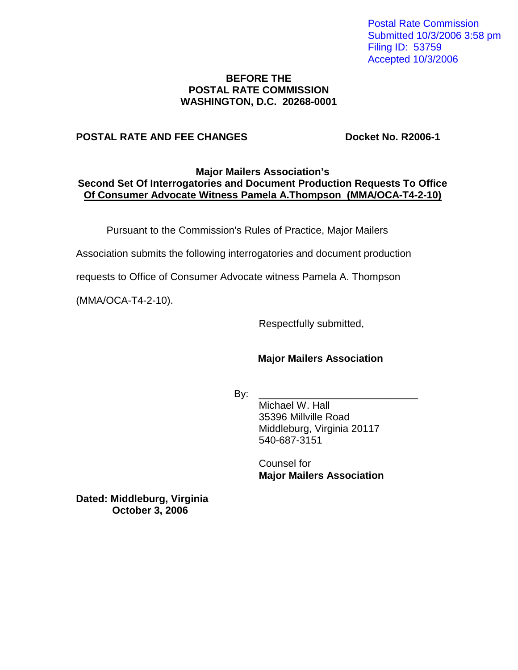Postal Rate Commission Submitted 10/3/2006 3:58 pm Filing ID: 53759 Accepted 10/3/2006

#### **BEFORE THE POSTAL RATE COMMISSION WASHINGTON, D.C. 20268-0001**

#### **POSTAL RATE AND FEE CHANGES Docket No. R2006-1**

#### **Major Mailers Association's Second Set Of Interrogatories and Document Production Requests To Office Of Consumer Advocate Witness Pamela A.Thompson (MMA/OCA-T4-2-10)**

Pursuant to the Commission's Rules of Practice, Major Mailers

Association submits the following interrogatories and document production

requests to Office of Consumer Advocate witness Pamela A. Thompson

(MMA/OCA-T4-2-10).

Respectfully submitted,

# **Major Mailers Association**

By: \_\_\_\_\_\_\_\_\_\_\_\_\_\_\_\_\_\_\_\_\_\_\_\_\_\_\_\_

Michael W. Hall 35396 Millville Road Middleburg, Virginia 20117 540-687-3151

Counsel for **Major Mailers Association**

**Dated: Middleburg, Virginia October 3, 2006**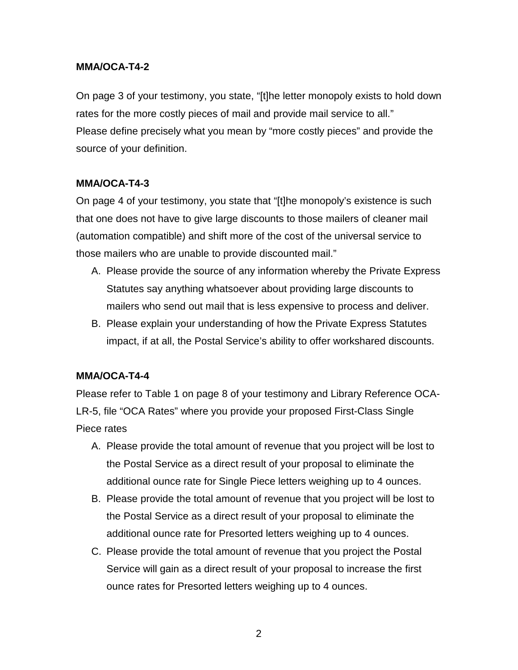### **MMA/OCA-T4-2**

On page 3 of your testimony, you state, "[t]he letter monopoly exists to hold down rates for the more costly pieces of mail and provide mail service to all." Please define precisely what you mean by "more costly pieces" and provide the source of your definition.

### **MMA/OCA-T4-3**

On page 4 of your testimony, you state that "[t]he monopoly's existence is such that one does not have to give large discounts to those mailers of cleaner mail (automation compatible) and shift more of the cost of the universal service to those mailers who are unable to provide discounted mail."

- A. Please provide the source of any information whereby the Private Express Statutes say anything whatsoever about providing large discounts to mailers who send out mail that is less expensive to process and deliver.
- B. Please explain your understanding of how the Private Express Statutes impact, if at all, the Postal Service's ability to offer workshared discounts.

# **MMA/OCA-T4-4**

Please refer to Table 1 on page 8 of your testimony and Library Reference OCA-LR-5, file "OCA Rates" where you provide your proposed First-Class Single Piece rates

- A. Please provide the total amount of revenue that you project will be lost to the Postal Service as a direct result of your proposal to eliminate the additional ounce rate for Single Piece letters weighing up to 4 ounces.
- B. Please provide the total amount of revenue that you project will be lost to the Postal Service as a direct result of your proposal to eliminate the additional ounce rate for Presorted letters weighing up to 4 ounces.
- C. Please provide the total amount of revenue that you project the Postal Service will gain as a direct result of your proposal to increase the first ounce rates for Presorted letters weighing up to 4 ounces.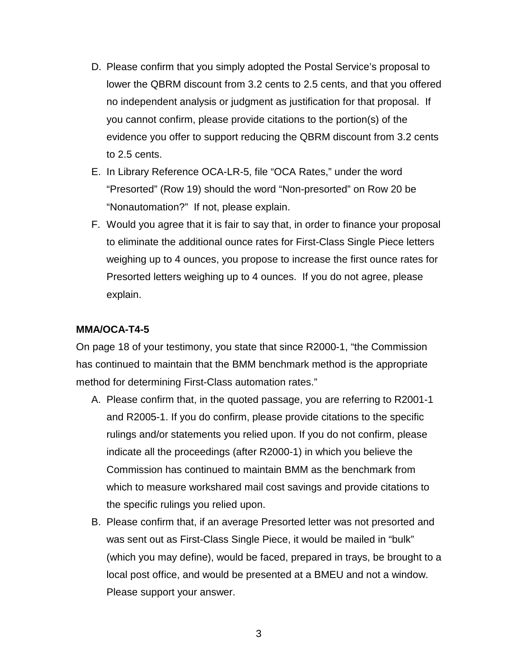- D. Please confirm that you simply adopted the Postal Service's proposal to lower the QBRM discount from 3.2 cents to 2.5 cents, and that you offered no independent analysis or judgment as justification for that proposal. If you cannot confirm, please provide citations to the portion(s) of the evidence you offer to support reducing the QBRM discount from 3.2 cents to 2.5 cents.
- E. In Library Reference OCA-LR-5, file "OCA Rates," under the word "Presorted" (Row 19) should the word "Non-presorted" on Row 20 be "Nonautomation?" If not, please explain.
- F. Would you agree that it is fair to say that, in order to finance your proposal to eliminate the additional ounce rates for First-Class Single Piece letters weighing up to 4 ounces, you propose to increase the first ounce rates for Presorted letters weighing up to 4 ounces. If you do not agree, please explain.

### **MMA/OCA-T4-5**

On page 18 of your testimony, you state that since R2000-1, "the Commission has continued to maintain that the BMM benchmark method is the appropriate method for determining First-Class automation rates."

- A. Please confirm that, in the quoted passage, you are referring to R2001-1 and R2005-1. If you do confirm, please provide citations to the specific rulings and/or statements you relied upon. If you do not confirm, please indicate all the proceedings (after R2000-1) in which you believe the Commission has continued to maintain BMM as the benchmark from which to measure workshared mail cost savings and provide citations to the specific rulings you relied upon.
- B. Please confirm that, if an average Presorted letter was not presorted and was sent out as First-Class Single Piece, it would be mailed in "bulk" (which you may define), would be faced, prepared in trays, be brought to a local post office, and would be presented at a BMEU and not a window. Please support your answer.

3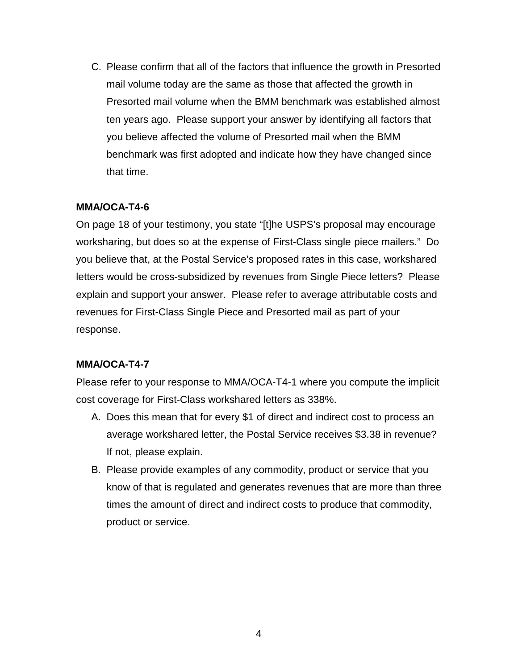C. Please confirm that all of the factors that influence the growth in Presorted mail volume today are the same as those that affected the growth in Presorted mail volume when the BMM benchmark was established almost ten years ago. Please support your answer by identifying all factors that you believe affected the volume of Presorted mail when the BMM benchmark was first adopted and indicate how they have changed since that time.

# **MMA/OCA-T4-6**

On page 18 of your testimony, you state "[t]he USPS's proposal may encourage worksharing, but does so at the expense of First-Class single- piece mailers." Do you believe that, at the Postal Service's proposed rates in this case, workshared letters would be cross-subsidized by revenues from Single Piece letters? Please explain and support your answer. Please refer to average attributable costs and revenues for First-Class Single Piece and Presorted mail as part of your response.

#### **MMA/OCA-T4-7**

Please refer to your response to MMA/OCA-T4-1 where you compute the implicit cost coverage for First-Class workshared letters as 338%.

- A. Does this mean that for every \$1 of direct and indirect cost to process an average workshared letter, the Postal Service receives \$3.38 in revenue? If not, please explain.
- B. Please provide examples of any commodity, product or service that you know of that is regulated and generates revenues that are more than three times the amount of direct and indirect costs to produce that commodity, product or service.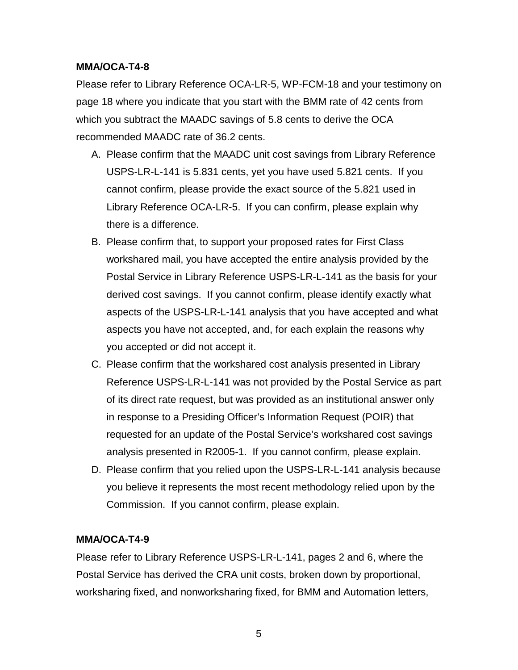### **MMA/OCA-T4-8**

Please refer to Library Reference OCA-LR-5, WP-FCM-18 and your testimony on page 18 where you indicate that you start with the BMM rate of 42 cents from which you subtract the MAADC savings of 5.8 cents to derive the OCA recommended MAADC rate of 36.2 cents.

- A. Please confirm that the MAADC unit cost savings from Library Reference USPS-LR-L-141 is 5.831 cents, yet you have used 5.821 cents. If you cannot confirm, please provide the exact source of the 5.821 used in Library Reference OCA-LR-5. If you can confirm, please explain why there is a difference.
- B. Please confirm that, to support your proposed rates for First Class workshared mail, you have accepted the entire analysis provided by the Postal Service in Library Reference USPS-LR-L-141 as the basis for your derived cost savings. If you cannot confirm, please identify exactly what aspects of the USPS-LR-L-141 analysis that you have accepted and what aspects you have not accepted, and, for each explain the reasons why you accepted or did not accept it.
- C. Please confirm that the workshared cost analysis presented in Library Reference USPS-LR-L-141 was not provided by the Postal Service as part of its direct rate request, but was provided as an institutional answer only in response to a Presiding Officer's Information Request (POIR) that requested for an update of the Postal Service's workshared cost savings analysis presented in R2005-1. If you cannot confirm, please explain.
- D. Please confirm that you relied upon the USPS-LR-L-141 analysis because you believe it represents the most recent methodology relied upon by the Commission. If you cannot confirm, please explain.

# **MMA/OCA-T4-9**

Please refer to Library Reference USPS-LR-L-141, pages 2 and 6, where the Postal Service has derived the CRA unit costs, broken down by proportional, worksharing fixed, and nonworksharing fixed, for BMM and Automation letters,

5